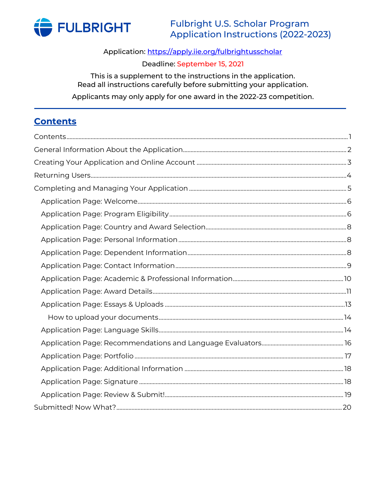

Application: https://apply.iie.org/fulbrightusscholar

## Deadline: September 15, 2021

This is a supplement to the instructions in the application. Read all instructions carefully before submitting your application.

Applicants may only apply for one award in the 2022-23 competition.

## <span id="page-0-0"></span>**Contents**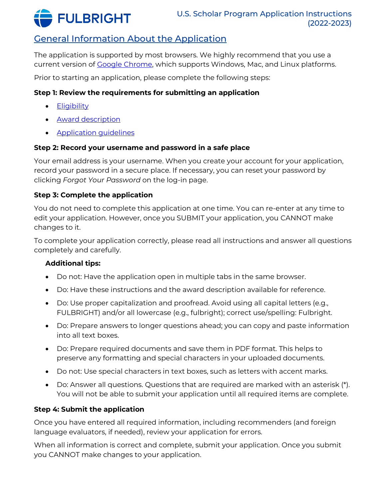

# <span id="page-1-0"></span>General Information About the Application

The application is supported by most browsers. We highly recommend that you use a current version of [Google Chrome,](https://www.google.com/chrome/) which supports Windows, Mac, and Linux platforms.

Prior to starting an application, please complete the following steps:

## **Step 1: Review the requirements for submitting an application**

- [Eligibility](https://cies.org/programs/us-scholar-awards#eligibility)
- [Award description](https://awards.cies.org/)
- [Application guidelines](https://cies.org/programs/us-scholar-awards#application)

## **Step 2: Record your username and password in a safe place**

Your email address is your username. When you create your account for your application, record your password in a secure place. If necessary, you can reset your password by clicking *Forgot Your Password* on the log-in page.

### **Step 3: Complete the application**

You do not need to complete this application at one time. You can re-enter at any time to edit your application. However, once you SUBMIT your application, you CANNOT make changes to it.

To complete your application correctly, please read all instructions and answer all questions completely and carefully.

## **Additional tips:**

- Do not: Have the application open in multiple tabs in the same browser.
- Do: Have these instructions and the award description available for reference.
- Do: Use proper capitalization and proofread. Avoid using all capital letters (e.g., FULBRIGHT) and/or all lowercase (e.g., fulbright); correct use/spelling: Fulbright.
- Do: Prepare answers to longer questions ahead; you can copy and paste information into all text boxes.
- Do: Prepare required documents and save them in PDF format. This helps to preserve any formatting and special characters in your uploaded documents.
- Do not: Use special characters in text boxes, such as letters with accent marks.
- Do: Answer all questions. Questions that are required are marked with an asterisk (\*). You will not be able to submit your application until all required items are complete.

## **Step 4: Submit the application**

Once you have entered all required information, including recommenders (and foreign language evaluators, if needed), review your application for errors.

When all information is correct and complete, submit your application. Once you submit you CANNOT make changes to your application.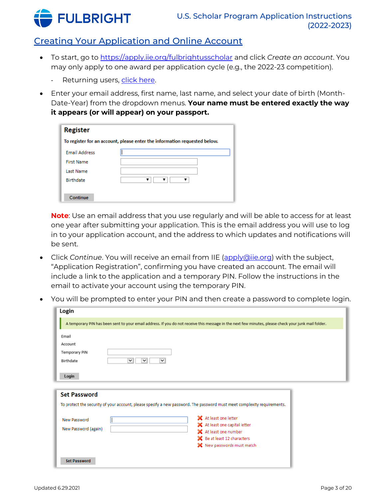

## <span id="page-2-0"></span>Creating Your Application and Online Account

- To start, go to<https://apply.iie.org/fulbrightusscholar> and click *Create an account*. You may only apply to one award per application cycle (e.g., the 2022-23 competition).
	- Returning users, [click here.](#page-3-0)
- Enter your email address, first name, last name, and select your date of birth (Month-Date-Year) from the dropdown menus. **Your name must be entered exactly the way it appears (or will appear) on your passport.**

| <b>Register</b>                                                           |  |  |  |
|---------------------------------------------------------------------------|--|--|--|
| To register for an account, please enter the information requested below. |  |  |  |
| <b>Email Address</b>                                                      |  |  |  |
| <b>First Name</b>                                                         |  |  |  |
| <b>Last Name</b>                                                          |  |  |  |
| <b>Birthdate</b>                                                          |  |  |  |
|                                                                           |  |  |  |
| Continue                                                                  |  |  |  |

**Note**: Use an email address that you use regularly and will be able to access for at least one year after submitting your application. This is the email address you will use to log in to your application account, and the address to which updates and notifications will be sent.

- Click *Continue*. You will receive an email from IIE [\(apply@iie.org\)](mailto:apply@iie.org) with the subject, "Application Registration", confirming you have created an account. The email will include a link to the application and a temporary PIN. Follow the instructions in the email to activate your account using the temporary PIN.
- You will be prompted to enter your PIN and then create a password to complete login.

| Email                |                                                                                                                         |
|----------------------|-------------------------------------------------------------------------------------------------------------------------|
| Account              |                                                                                                                         |
|                      |                                                                                                                         |
| Temporary PIN        |                                                                                                                         |
| Birthdate            | $\check{~}$<br>$\checkmark$<br>$\check{~}$                                                                              |
|                      |                                                                                                                         |
| Login                |                                                                                                                         |
|                      |                                                                                                                         |
| <b>Set Password</b>  |                                                                                                                         |
|                      | To protect the security of your account, please specify a new password. The password must meet complexity requirements. |
|                      |                                                                                                                         |
|                      | X At least one letter                                                                                                   |
| New Password         |                                                                                                                         |
|                      | X At least one capital letter                                                                                           |
| New Password (again) | X At least one number                                                                                                   |
|                      | SC Be at least 12 characters                                                                                            |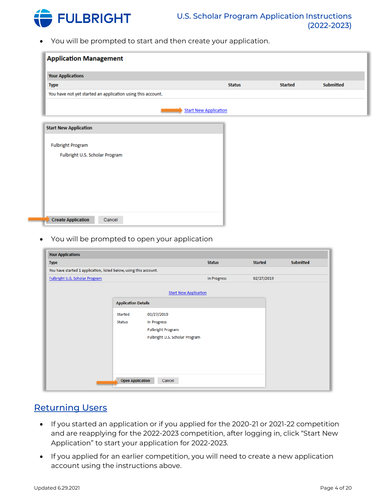

• You will be prompted to start and then create your application.

| <b>Application Management</b>                               |                              |                |                  |
|-------------------------------------------------------------|------------------------------|----------------|------------------|
| <b>Your Applications</b>                                    |                              |                |                  |
| <b>Type</b>                                                 | <b>Status</b>                | <b>Started</b> | <b>Submitted</b> |
| You have not yet started an application using this account. |                              |                |                  |
|                                                             | <b>Start New Application</b> |                |                  |
| <b>Start New Application</b>                                |                              |                |                  |
| <b>Fulbright Program</b>                                    |                              |                |                  |
| Fulbright U.S. Scholar Program                              |                              |                |                  |
|                                                             |                              |                |                  |
|                                                             |                              |                |                  |
|                                                             |                              |                |                  |
|                                                             |                              |                |                  |
|                                                             |                              |                |                  |
| <b>Create Application</b><br>Cancel                         |                              |                |                  |

• You will be prompted to open your application

| <b>Your Applications</b>                                          |                                   |               |                |                  |
|-------------------------------------------------------------------|-----------------------------------|---------------|----------------|------------------|
| <b>Type</b>                                                       |                                   | <b>Status</b> | <b>Started</b> | <b>Submitted</b> |
| You have started 1 application, listed below, using this account. |                                   |               |                |                  |
| Fulbright U.S. Scholar Program                                    |                                   | In Progress   | 02/27/2019     |                  |
|                                                                   | <b>Start New Application</b>      |               |                |                  |
|                                                                   | <b>Application Details</b>        |               |                |                  |
|                                                                   | 02/27/2019<br>Started             |               |                |                  |
| <b>Status</b>                                                     | In Progress                       |               |                |                  |
|                                                                   | <b>Fulbright Program</b>          |               |                |                  |
|                                                                   | Fulbright U.S. Scholar Program    |               |                |                  |
|                                                                   |                                   |               |                |                  |
|                                                                   |                                   |               |                |                  |
|                                                                   |                                   |               |                |                  |
|                                                                   |                                   |               |                |                  |
|                                                                   | <b>Open Application</b><br>Cancel |               |                |                  |
|                                                                   |                                   |               |                |                  |

## <span id="page-3-0"></span>Returning Users

- If you started an application or if you applied for the 2020-21 or 2021-22 competition and are reapplying for the 2022-2023 competition, after logging in, click "Start New Application" to start your application for 2022-2023.
- If you applied for an earlier competition, you will need to create a new application account using the instructions above.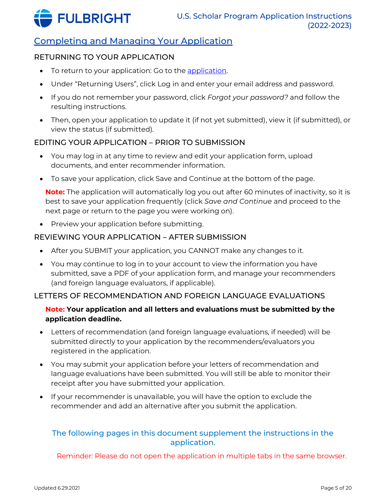

## <span id="page-4-0"></span>Completing and Managing Your Application

### RETURNING TO YOUR APPLICATION

- To return to your application: Go to the application.
- Under "Returning Users", click Log in and enter your email address and password.
- If you do not remember your password, click *Forgot your password?* and follow the resulting instructions.
- Then, open your application to update it (if not yet submitted), view it (if submitted), or view the status (if submitted).

### EDITING YOUR APPLICATION – PRIOR TO SUBMISSION

- You may log in at any time to review and edit your application form, upload documents, and enter recommender information.
- To save your application, click Save and Continue at the bottom of the page.

**Note:** The application will automatically log you out after 60 minutes of inactivity, so it is best to save your application frequently (click *Save and Continue* and proceed to the next page or return to the page you were working on).

• Preview your application before submitting.

#### REVIEWING YOUR APPLICATION – AFTER SUBMISSION

- After you SUBMIT your application, you CANNOT make any changes to it.
- You may continue to log in to your account to view the information you have submitted, save a PDF of your application form, and manage your recommenders (and foreign language evaluators, if applicable).

#### LETTERS OF RECOMMENDATION AND FOREIGN LANGUAGE EVALUATIONS

### **Note: Your application and all letters and evaluations must be submitted by the application deadline.**

- Letters of recommendation (and foreign language evaluations, if needed) will be submitted directly to your application by the recommenders/evaluators you registered in the application.
- You may submit your application before your letters of recommendation and language evaluations have been submitted. You will still be able to monitor their receipt after you have submitted your application.
- If your recommender is unavailable, you will have the option to exclude the recommender and add an alternative after you submit the application.

### The following pages in this document supplement the instructions in the application.

Reminder: Please do not open the application in multiple tabs in the same browser.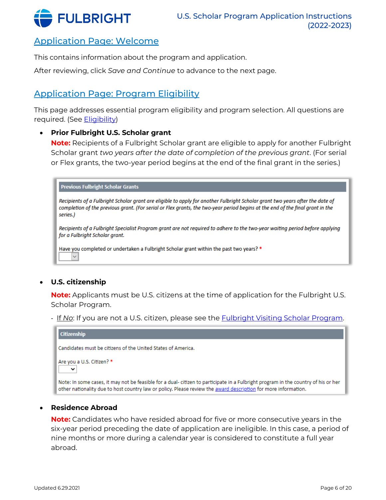

## <span id="page-5-0"></span>Application Page: Welcome

This contains information about the program and application.

After reviewing, click *Save and Continue* to advance to the next page.

## <span id="page-5-1"></span>Application Page: Program Eligibility

This page addresses essential program eligibility and program selection. All questions are required. (See [Eligibility\)](https://cies.org/programs/us-scholar-awards#eligibility)

#### • **Prior Fulbright U.S. Scholar grant**

**Note:** Recipients of a Fulbright Scholar grant are eligible to apply for another Fulbright Scholar grant *two years after the date of completion of the previous grant*. (For serial or Flex grants, the two-year period begins at the end of the final grant in the series.)

| <b>Previous Fulbright Scholar Grants</b>                                                                                                                                                                                                                                   |
|----------------------------------------------------------------------------------------------------------------------------------------------------------------------------------------------------------------------------------------------------------------------------|
| Recipients of a Fulbright Scholar grant are eligible to apply for another Fulbright Scholar grant two years after the date of<br>completion of the previous grant. (For serial or Flex grants, the two-year period begins at the end of the final grant in the<br>series.) |
| Recipients of a Fulbright Specialist Program grant are not required to adhere to the two-year waiting period before applying<br>for a Fulbright Scholar grant.                                                                                                             |
| Have you completed or undertaken a Fulbright Scholar grant within the past two years? *<br>$\checkmark$                                                                                                                                                                    |

#### • **U.S. citizenship**

**Note:** Applicants must be U.S. citizens at the time of application for the Fulbright U.S. Scholar Program.

- If *No*: If you are not a U.S. citizen, please see the **Fulbright Visiting Scholar Program**.

| <b>Citizenship</b>                                                                                                                                                                                                                                  |
|-----------------------------------------------------------------------------------------------------------------------------------------------------------------------------------------------------------------------------------------------------|
| Candidates must be citizens of the United States of America.                                                                                                                                                                                        |
| Are you a U.S. Citizen? *<br>$\checkmark$                                                                                                                                                                                                           |
| Note: In some cases, it may not be feasible for a dual-citizen to participate in a Fulbright program in the country of his or her<br>other nationality due to host country law or policy. Please review the award description for more information. |

### • **Residence Abroad**

**Note:** Candidates who have resided abroad for five or more consecutive years in the six-year period preceding the date of application are ineligible. In this case, a period of nine months or more during a calendar year is considered to constitute a full year abroad.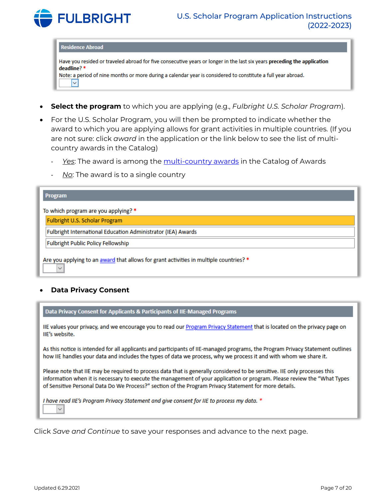

#### **Residence Abroad**

Have you resided or traveled abroad for five consecutive years or longer in the last six years preceding the application deadline? \* Note: a period of nine months or more during a calendar year is considered to constitute a full year abroad.

 $\checkmark$ 

- **Select the program** to which you are applying (e.g., *Fulbright U.S. Scholar Program*).
- For the U.S. Scholar Program, you will then be prompted to indicate whether the award to which you are applying allows for grant activities in multiple countries. (If you are not sure: click *award* in the application or the link below to see the list of multicountry awards in the Catalog)
	- *Yes*: The award is among the [multi-country awards](https://awards.cies.org/search?mefibs-form-homepage-field_world_area%5B%5D=157&mefibs-form-homepage-search_api_views_fulltext=&mefibs-form-homepage-field_award_multi_country=All&mefibs-form-homepage-field_award_type_list%5B%5D=1793&mefibs-form-homepage-field_award_activity%5B%5D=1576&mefibs-form-homepage-field_award_grant_length=All&mefibs-form-homepage-field_award_degree_reqs=All&mefibs-form-homepage-field_invitation_req%5B%5D=letter_req&mefibs-form-homepage-field_career_profile%5B%5D=1800&mefibs-form-homepage-mefibs_block_id=homepage&op=Search+Awards) in the Catalog of Awards
	- *No*: The award is to a single country

| <b>Program</b>                                                                                         |  |  |  |
|--------------------------------------------------------------------------------------------------------|--|--|--|
| To which program are you applying? *                                                                   |  |  |  |
| Fulbright U.S. Scholar Program                                                                         |  |  |  |
| Fulbright International Education Administrator (IEA) Awards                                           |  |  |  |
| Fulbright Public Policy Fellowship                                                                     |  |  |  |
| Are you applying to an award that allows for grant activities in multiple countries? *<br>$\checkmark$ |  |  |  |

#### • **Data Privacy Consent**

Data Privacy Consent for Applicants & Participants of IIE-Managed Programs

IIE values your privacy, and we encourage you to read our Program Privacy Statement that is located on the privacy page on IIE's website.

As this notice is intended for all applicants and participants of IIE-managed programs, the Program Privacy Statement outlines how IIE handles your data and includes the types of data we process, why we process it and with whom we share it.

Please note that IIE may be required to process data that is generally considered to be sensitive. IIE only processes this information when it is necessary to execute the management of your application or program. Please review the "What Types of Sensitive Personal Data Do We Process?" section of the Program Privacy Statement for more details.

I have read IIE's Program Privacy Statement and give consent for IIE to process my data. \*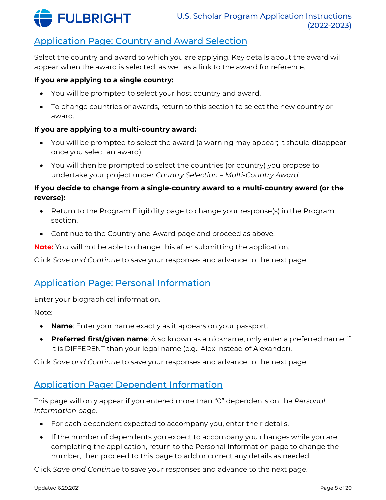

# <span id="page-7-0"></span>Application Page: Country and Award Selection

Select the country and award to which you are applying. Key details about the award will appear when the award is selected, as well as a link to the award for reference.

#### **If you are applying to a single country:**

- You will be prompted to select your host country and award.
- To change countries or awards, return to this section to select the new country or award.

#### **If you are applying to a multi-country award:**

- You will be prompted to select the award (a warning may appear; it should disappear once you select an award)
- You will then be prompted to select the countries (or country) you propose to undertake your project under *Country Selection – Multi-Country Award*

### **If you decide to change from a single-country award to a multi-country award (or the reverse):**

- Return to the Program Eligibility page to change your response(s) in the Program section.
- Continue to the Country and Award page and proceed as above.

**Note:** You will not be able to change this after submitting the application.

Click *Save and Continue* to save your responses and advance to the next page.

## <span id="page-7-1"></span>Application Page: Personal Information

Enter your biographical information.

#### Note:

- **Name**: Enter your name exactly as it appears on your passport.
- **Preferred first/given name**: Also known as a nickname, only enter a preferred name if it is DIFFERENT than your legal name (e.g., Alex instead of Alexander).

Click *Save and Continue* to save your responses and advance to the next page.

## <span id="page-7-2"></span>Application Page: Dependent Information

This page will only appear if you entered more than "0" dependents on the *Personal Information* page.

- For each dependent expected to accompany you, enter their details.
- If the number of dependents you expect to accompany you changes while you are completing the application, return to the Personal Information page to change the number, then proceed to this page to add or correct any details as needed.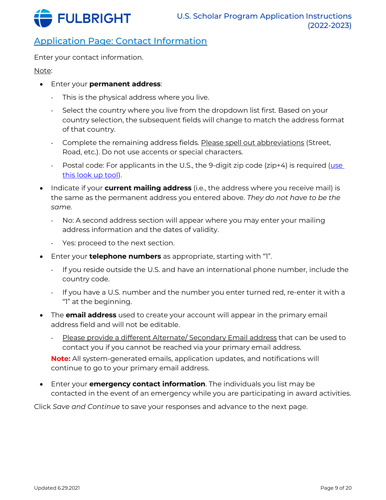

# <span id="page-8-0"></span>Application Page: Contact Information

Enter your contact information.

Note:

- Enter your **permanent address**:
	- This is the physical address where you live.
	- Select the country where you live from the dropdown list first. Based on your country selection, the subsequent fields will change to match the address format of that country.
	- Complete the remaining address fields. Please spell out abbreviations (Street, Road, etc.). Do not use accents or special characters.
	- Postal code: For applicants in the U.S., the 9-digit zip code (zip+4) is required (use [this look up tool\)](http://zip4.usps.com/zip4/).
- Indicate if your **current mailing address** (i.e., the address where you receive mail) is the same as the permanent address you entered above. *They do not have to be the same.*
	- No: A second address section will appear where you may enter your mailing address information and the dates of validity.
	- Yes: proceed to the next section.
- Enter your **telephone numbers** as appropriate, starting with "1".
	- If you reside outside the U.S. and have an international phone number, include the country code.
	- If you have a U.S. number and the number you enter turned red, re-enter it with a "1" at the beginning.
- The **email address** used to create your account will appear in the primary email address field and will not be editable.
	- Please provide a different Alternate/ Secondary Email address that can be used to contact you if you cannot be reached via your primary email address.

**Note:** All system-generated emails, application updates, and notifications will continue to go to your primary email address.

• Enter your **emergency contact information**. The individuals you list may be contacted in the event of an emergency while you are participating in award activities.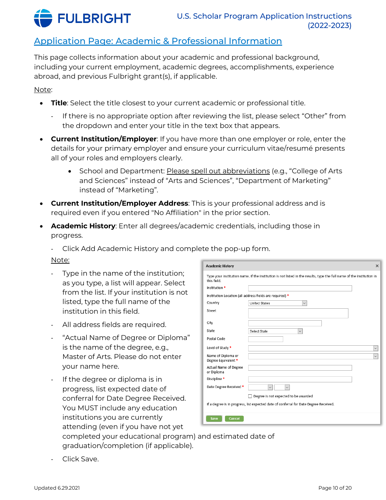

## <span id="page-9-0"></span>Application Page: Academic & Professional Information

This page collects information about your academic and professional background, including your current employment, academic degrees, accomplishments, experience abroad, and previous Fulbright grant(s), if applicable.

Note:

- **Title**: Select the title closest to your current academic or professional title.
	- If there is no appropriate option after reviewing the list, please select "Other" from the dropdown and enter your title in the text box that appears.
- **Current Institution/Employer**: If you have more than one employer or role, enter the details for your primary employer and ensure your curriculum vitae/resumé presents all of your roles and employers clearly.
	- School and Department: Please spell out abbreviations (e.g., "College of Arts and Sciences" instead of "Arts and Sciences", "Department of Marketing" instead of "Marketing".
- **Current Institution/Employer Address**: This is your professional address and is required even if you entered "No Affiliation" in the prior section.
- **Academic History**: Enter all degrees/academic credentials, including those in progress.

- Click Add Academic History and complete the pop-up form.

#### Note:

- Type in the name of the institution; as you type, a list will appear. Select from the list. If your institution is not listed, type the full name of the institution in this field.
- All address fields are required.
- "Actual Name of Degree or Diploma" is the name of the degree, e.g., Master of Arts. Please do not enter your name here.
- If the degree or diploma is in progress, list expected date of conferral for Date Degree Received. You MUST include any education institutions you are currently attending (even if you have not yet

| <b>Academic History</b>                                                                                                              |                                                          | $\times$ |  |
|--------------------------------------------------------------------------------------------------------------------------------------|----------------------------------------------------------|----------|--|
| Type your institution name. If the institution is not listed in the results, type the full name of the institution in<br>this field. |                                                          |          |  |
| Institution *                                                                                                                        |                                                          |          |  |
|                                                                                                                                      | Institution Location (all address fields are required) * |          |  |
| Country                                                                                                                              | <b>United States</b><br>$\checkmark$                     |          |  |
| Street                                                                                                                               |                                                          |          |  |
|                                                                                                                                      |                                                          |          |  |
| City                                                                                                                                 |                                                          |          |  |
| State                                                                                                                                | Select State<br>$\checkmark$                             |          |  |
| Postal Code                                                                                                                          |                                                          |          |  |
| Level of Study *                                                                                                                     | $\checkmark$                                             |          |  |
| Name of Diploma or<br>Degree Equivalent *                                                                                            | $\checkmark$                                             |          |  |
| Actual Name of Degree<br>or Diploma                                                                                                  |                                                          |          |  |
| Discipline *                                                                                                                         |                                                          |          |  |
| Date Degree Received *                                                                                                               |                                                          |          |  |
|                                                                                                                                      | Degree is not expected to be awarded                     |          |  |
| If a degree is in progress, list expected date of conferral for Date Degree Received.                                                |                                                          |          |  |
| Cancel<br>Save                                                                                                                       |                                                          |          |  |

completed your educational program) and estimated date of graduation/completion (if applicable).

Click Save.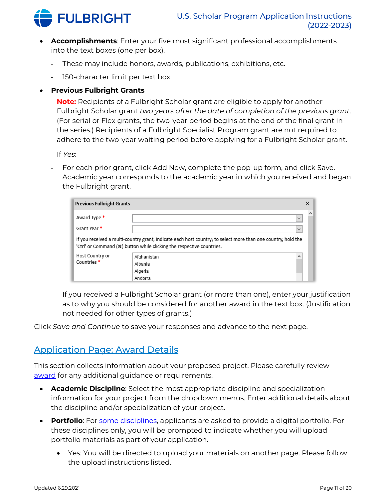

- **Accomplishments**: Enter your five most significant professional accomplishments into the text boxes (one per box).
	- These may include honors, awards, publications, exhibitions, etc.
	- 150-character limit per text box

### • **Previous Fulbright Grants**

**Note:** Recipients of a Fulbright Scholar grant are eligible to apply for another Fulbright Scholar grant *two years after the date of completion of the previous grant*. (For serial or Flex grants, the two-year period begins at the end of the final grant in the series.) Recipients of a Fulbright Specialist Program grant are not required to adhere to the two-year waiting period before applying for a Fulbright Scholar grant.

If *Yes*:

- For each prior grant, click Add New, complete the pop-up form, and click Save. Academic year corresponds to the academic year in which you received and began the Fulbright grant.

| <b>Previous Fulbright Grants</b> |                                                                                                                                                                                       | × |
|----------------------------------|---------------------------------------------------------------------------------------------------------------------------------------------------------------------------------------|---|
| Award Type *<br>Grant Year *     | $\checkmark$<br>$\checkmark$                                                                                                                                                          | ⌒ |
|                                  | If you received a multi-country grant, indicate each host country; to select more than one country, hold the<br>'Ctrl' or Command (*) button while clicking the respective countries. |   |
| Host Country or                  | Afghanistan                                                                                                                                                                           |   |
| Countries <sup>*</sup>           | Albania                                                                                                                                                                               |   |
|                                  | Algeria                                                                                                                                                                               |   |
|                                  | Andorra                                                                                                                                                                               |   |

If you received a Fulbright Scholar grant (or more than one), enter your justification as to why you should be considered for another award in the text box. (Justification not needed for other types of grants.)

Click *Save and Continue* to save your responses and advance to the next page.

## <span id="page-10-0"></span>Application Page: Award Details

This section collects information about your proposed project. Please carefully review [award](https://awards.cies.org/) for any additional guidance or requirements.

- **Academic Discipline**: Select the most appropriate discipline and specialization information for your project from the dropdown menus. Enter additional details about the discipline and/or specialization of your project.
- **Portfolio**: For [some disciplines,](https://cies.org/application-requirements#Digital_Portfolio) applicants are asked to provide a digital portfolio. For these disciplines only, you will be prompted to indicate whether you will upload portfolio materials as part of your application.
	- $\bullet$  Yes: You will be directed to upload your materials on another page. Please follow the upload instructions listed.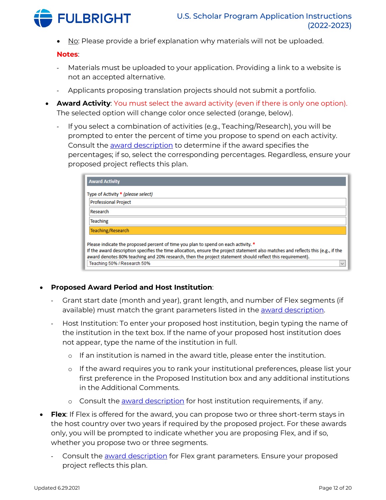

• No: Please provide a brief explanation why materials will not be uploaded.

#### **Notes**:

- Materials must be uploaded to your application. Providing a link to a website is not an accepted alternative.
- Applicants proposing translation projects should not submit a portfolio.
- **Award Activity**: You must select the award activity (even if there is only one option). The selected option will change color once selected (orange, below).
	- If you select a combination of activities (e.g., Teaching/Research), you will be prompted to enter the percent of time you propose to spend on each activity. Consult the [award description](https://awards.cies.org/) to determine if the award specifies the percentages; if so, select the corresponding percentages. Regardless, ensure your proposed project reflects this plan.

| Type of Activity * (please select)<br><b>Professional Project</b><br>Research<br><b>Teaching</b><br>Teaching/Research<br>Please indicate the proposed percent of time you plan to spend on each activity. *<br>If the award description specifies the time allocation, ensure the project statement also matches and reflects this (e.g., if the<br>award denotes 80% teaching and 20% research, then the project statement should reflect this requirement). | <b>Award Activity</b> |  |
|---------------------------------------------------------------------------------------------------------------------------------------------------------------------------------------------------------------------------------------------------------------------------------------------------------------------------------------------------------------------------------------------------------------------------------------------------------------|-----------------------|--|
|                                                                                                                                                                                                                                                                                                                                                                                                                                                               |                       |  |
|                                                                                                                                                                                                                                                                                                                                                                                                                                                               |                       |  |
|                                                                                                                                                                                                                                                                                                                                                                                                                                                               |                       |  |
|                                                                                                                                                                                                                                                                                                                                                                                                                                                               |                       |  |
|                                                                                                                                                                                                                                                                                                                                                                                                                                                               |                       |  |
|                                                                                                                                                                                                                                                                                                                                                                                                                                                               |                       |  |
|                                                                                                                                                                                                                                                                                                                                                                                                                                                               |                       |  |
|                                                                                                                                                                                                                                                                                                                                                                                                                                                               |                       |  |
| Teaching 50% / Research 50%                                                                                                                                                                                                                                                                                                                                                                                                                                   |                       |  |

#### • **Proposed Award Period and Host Institution**:

- Grant start date (month and year), grant length, and number of Flex segments (if available) must match the grant parameters listed in the [award description.](https://awards.cies.org/)
- Host Institution: To enter your proposed host institution, begin typing the name of the institution in the text box. If the name of your proposed host institution does not appear, type the name of the institution in full.
	- o If an institution is named in the award title, please enter the institution.
	- o If the award requires you to rank your institutional preferences, please list your first preference in the Proposed Institution box and any additional institutions in the Additional Comments.
	- o Consult the [award description](https://awards.cies.org/) for host institution requirements, if any.
- **Flex**: If Flex is offered for the award, you can propose two or three short-term stays in the host country over two years if required by the proposed project. For these awards only, you will be prompted to indicate whether you are proposing Flex, and if so, whether you propose two or three segments.
	- Consult the [award description](https://awards.cies.org/) for Flex grant parameters. Ensure your proposed project reflects this plan.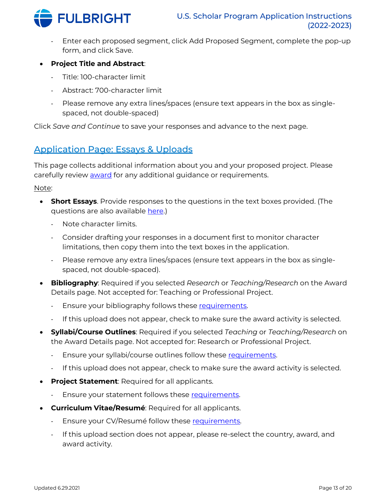

- Enter each proposed segment, click Add Proposed Segment, complete the pop-up form, and click Save.
- **Project Title and Abstract**:
	- Title: 100-character limit
	- Abstract: 700-character limit
	- Please remove any extra lines/spaces (ensure text appears in the box as singlespaced, not double-spaced)

Click *Save and Continue* to save your responses and advance to the next page.

## <span id="page-12-0"></span>Application Page: Essays & Uploads

This page collects additional information about you and your proposed project. Please carefully review [award](https://awards.cies.org/) for any additional guidance or requirements.

#### Note:

- **Short Essays**. Provide responses to the questions in the text boxes provided. (The questions are also available [here.\)](https://cies.org/application-requirements)
	- Note character limits.
	- Consider drafting your responses in a document first to monitor character limitations, then copy them into the text boxes in the application.
	- Please remove any extra lines/spaces (ensure text appears in the box as singlespaced, not double-spaced).
- **Bibliography**: Required if you selected *Research* or *Teaching/Research* on the Award Details page. Not accepted for: Teaching or Professional Project.
	- Ensure your bibliography follows these [requirements.](https://cies.org/application-requirements)
	- If this upload does not appear, check to make sure the award activity is selected.
- **Syllabi/Course Outlines**: Required if you selected *Teaching* or *Teaching/Research* on the Award Details page. Not accepted for: Research or Professional Project.
	- Ensure your syllabi/course outlines follow these [requirements.](https://cies.org/application-requirements)
	- If this upload does not appear, check to make sure the award activity is selected.
- **Project Statement**: Required for all applicants.
	- Ensure your statement follows these [requirements.](https://cies.org/application-requirements)
- **Curriculum Vitae/Resumé**: Required for all applicants.
	- Ensure your CV/Resumé follow these [requirements.](https://cies.org/application-requirements)
	- If this upload section does not appear, please re-select the country, award, and award activity.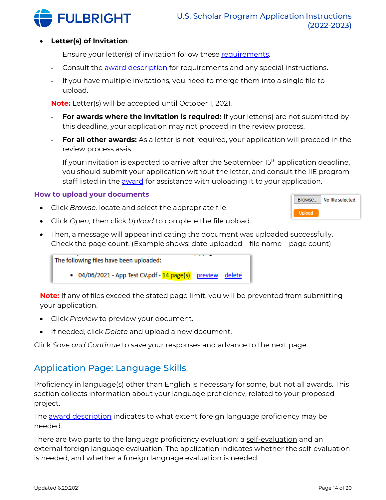

#### • **Letter(s) of Invitation**:

- Ensure your letter(s) of invitation follow these [requirements.](https://cies.org/application-requirements)
- Consult the [award description](https://awards.cies.org/) for requirements and any special instructions.
- If you have multiple invitations, you need to merge them into a single file to upload.

**Note:** Letter(s) will be accepted until October 1, 2021.

- **For awards where the invitation is required:** If your letter(s) are not submitted by this deadline, your application may not proceed in the review process.
- **For all other awards:** As a letter is not required, your application will proceed in the review process as-is.
- If your invitation is expected to arrive after the September  $15<sup>th</sup>$  application deadline, you should submit your application without the letter, and consult the IIE program staff listed in the [award](https://awards.cies.org/) for assistance with uploading it to your application.

#### <span id="page-13-0"></span>**How to upload your documents**

- Click *Browse,* locate and select the appropriate file
- Click *Open,* then click *Upload* to complete the file upload.
- Then, a message will appear indicating the document was uploaded successfully. Check the page count. (Example shows: date uploaded – file name – page count)

The following files have been uploaded:

• 04/06/2021 - App Test CV.pdf - 14 page(s) preview delete

**Note:** If any of files exceed the stated page limit, you will be prevented from submitting your application.

- Click *Preview* to preview your document.
- If needed, click *Delete* and upload a new document.

Click *Save and Continue* to save your responses and advance to the next page.

### <span id="page-13-1"></span>Application Page: Language Skills

Proficiency in language(s) other than English is necessary for some, but not all awards. This section collects information about your language proficiency, related to your proposed project.

The **award description** indicates to what extent foreign language proficiency may be needed.

There are two parts to the language proficiency evaluation: a self-evaluation and an external foreign language evaluation. The application indicates whether the self-evaluation is needed, and whether a foreign language evaluation is needed.

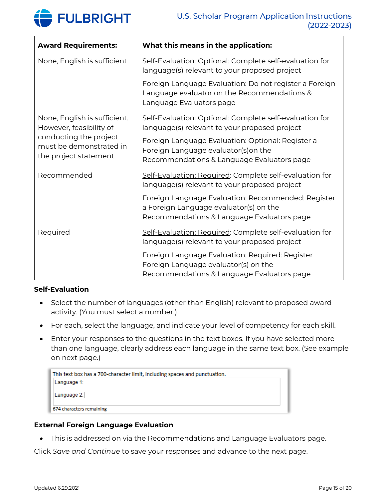

| <b>Award Requirements:</b>                                                                                                            | What this means in the application:                                                                                                                                                                                                                    |
|---------------------------------------------------------------------------------------------------------------------------------------|--------------------------------------------------------------------------------------------------------------------------------------------------------------------------------------------------------------------------------------------------------|
| None, English is sufficient                                                                                                           | Self-Evaluation: Optional: Complete self-evaluation for<br>language(s) relevant to your proposed project                                                                                                                                               |
|                                                                                                                                       | Foreign Language Evaluation: Do not register a Foreign<br>Language evaluator on the Recommendations &<br>Language Evaluators page                                                                                                                      |
| None, English is sufficient.<br>However, feasibility of<br>conducting the project<br>must be demonstrated in<br>the project statement | Self-Evaluation: Optional: Complete self-evaluation for<br>language(s) relevant to your proposed project<br>Foreign Language Evaluation: Optional: Register a<br>Foreign Language evaluator(s) on the<br>Recommendations & Language Evaluators page    |
| Recommended                                                                                                                           | Self-Evaluation: Required: Complete self-evaluation for<br>language(s) relevant to your proposed project<br>Foreign Language Evaluation: Recommended: Register<br>a Foreign Language evaluator(s) on the<br>Recommendations & Language Evaluators page |
| Required                                                                                                                              | Self-Evaluation: Required: Complete self-evaluation for<br>language(s) relevant to your proposed project<br>Foreign Language Evaluation: Required: Register<br>Foreign Language evaluator(s) on the<br>Recommendations & Language Evaluators page      |

#### **Self-Evaluation**

- Select the number of languages (other than English) relevant to proposed award activity. (You must select a number.)
- For each, select the language, and indicate your level of competency for each skill.
- Enter your responses to the questions in the text boxes. If you have selected more than one language, clearly address each language in the same text box. (See example on next page.)

| This text box has a 700-character limit, including spaces and punctuation. |  |
|----------------------------------------------------------------------------|--|
| Language 1:                                                                |  |
| Language 2:                                                                |  |
| 674 characters remaining                                                   |  |

#### **External Foreign Language Evaluation**

• This is addressed on via the Recommendations and Language Evaluators page.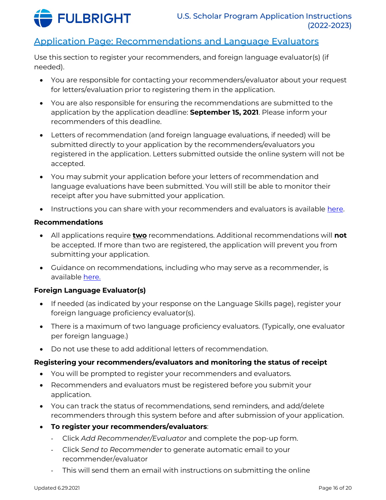

## <span id="page-15-0"></span>Application Page: Recommendations and Language Evaluators

Use this section to register your recommenders, and foreign language evaluator(s) (if needed).

- You are responsible for contacting your recommenders/evaluator about your request for letters/evaluation prior to registering them in the application.
- You are also responsible for ensuring the recommendations are submitted to the application by the application deadline: **September 15, 2021**. Please inform your recommenders of this deadline.
- Letters of recommendation (and foreign language evaluations, if needed) will be submitted directly to your application by the recommenders/evaluators you registered in the application. Letters submitted outside the online system will not be accepted.
- You may submit your application before your letters of recommendation and language evaluations have been submitted. You will still be able to monitor their receipt after you have submitted your application.
- Instructions you can share with your recommenders and evaluators is available [here.](https://cies.org/sites/default/files/2021-03/US_Scholar_LOR_and_FLE_Instructions_2021.pdf)

#### **Recommendations**

- All applications require **two** recommendations. Additional recommendations will **not** be accepted. If more than two are registered, the application will prevent you from submitting your application.
- Guidance on recommendations, including who may serve as a recommender, is available [here.](https://cies.org/application-requirements)

### **Foreign Language Evaluator(s)**

- If needed (as indicated by your response on the Language Skills page), register your foreign language proficiency evaluator(s).
- There is a maximum of two language proficiency evaluators. (Typically, one evaluator per foreign language.)
- Do not use these to add additional letters of recommendation.

#### **Registering your recommenders/evaluators and monitoring the status of receipt**

- You will be prompted to register your recommenders and evaluators.
- Recommenders and evaluators must be registered before you submit your application.
- You can track the status of recommendations, send reminders, and add/delete recommenders through this system before and after submission of your application.
- **To register your recommenders/evaluators**:
	- Click *Add Recommender/Evaluator* and complete the pop-up form.
	- Click *Send to Recommender* to generate automatic email to your recommender/evaluator
	- This will send them an email with instructions on submitting the online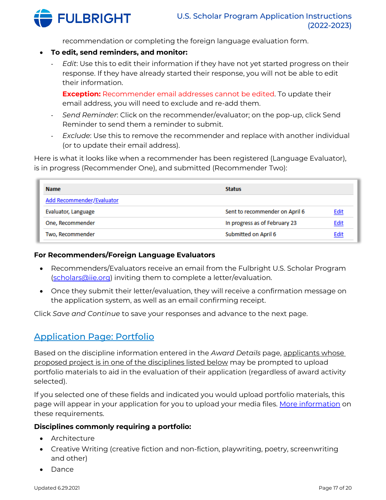

recommendation or completing the foreign language evaluation form.

- **To edit, send reminders, and monitor:**
	- *Edit*: Use this to edit their information if they have not yet started progress on their response. If they have already started their response, you will not be able to edit their information.

**Exception:** Recommender email addresses cannot be edited. To update their email address, you will need to exclude and re-add them.

- *Send Reminder*: Click on the recommender/evaluator; on the pop-up, click Send Reminder to send them a reminder to submit.
- *Exclude*: Use this to remove the recommender and replace with another individual (or to update their email address).

Here is what it looks like when a recommender has been registered (Language Evaluator), is in progress (Recommender One), and submitted (Recommender Two):

| <b>Name</b>               | <b>Status</b>                  |             |
|---------------------------|--------------------------------|-------------|
| Add Recommender/Evaluator |                                |             |
| Evaluator, Language       | Sent to recommender on April 6 | <b>Edit</b> |
| One, Recommender          | In progress as of February 23  | <u>Edit</u> |
| Two, Recommender          | Submitted on April 6           | Edit        |

### **For Recommenders/Foreign Language Evaluators**

- Recommenders/Evaluators receive an email from the Fulbright U.S. Scholar Program [\(scholars@iie.org\)](mailto:scholars@iie.org) inviting them to complete a letter/evaluation.
- Once they submit their letter/evaluation, they will receive a confirmation message on the application system, as well as an email confirming receipt.

Click *Save and Continue* to save your responses and advance to the next page.

## <span id="page-16-0"></span>Application Page: Portfolio

Based on the discipline information entered in the *Award Details* page, applicants whose proposed project is in one of the disciplines listed below may be prompted to upload portfolio materials to aid in the evaluation of their application (regardless of award activity selected).

If you selected one of these fields and indicated you would upload portfolio materials, this page will appear in your application for you to upload your media files. <u>More information</u> on these requirements.

#### **Disciplines commonly requiring a portfolio:**

- Architecture
- Creative Writing (creative fiction and non-fiction, playwriting, poetry, screenwriting and other)
- Dance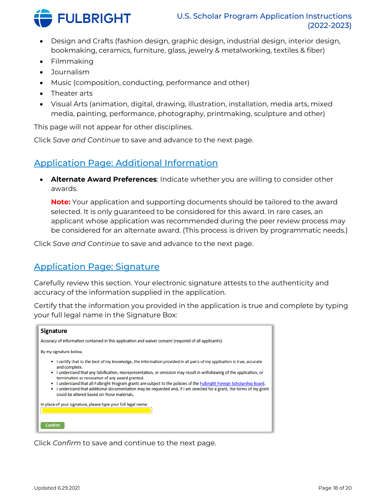

- Design and Crafts (fashion design, graphic design, industrial design, interior design, bookmaking, ceramics, furniture, glass, jewelry & metalworking, textiles & fiber)
- Filmmaking
- Journalism
- Music (composition, conducting, performance and other)
- Theater arts
- Visual Arts (animation, digital, drawing, illustration, installation, media arts, mixed media, painting, performance, photography, printmaking, sculpture and other)

This page will not appear for other disciplines.

Click *Save and Continue* to save and advance to the next page.

## <span id="page-17-0"></span>Application Page: Additional Information

• **Alternate Award Preferences**: Indicate whether you are willing to consider other awards.

**Note:** Your application and supporting documents should be tailored to the award selected. It is only guaranteed to be considered for this award. In rare cases, an applicant whose application was recommended during the peer review process may be considered for an alternate award. (This process is driven by programmatic needs.)

Click *Save and Continue* to save and advance to the next page.

## <span id="page-17-1"></span>Application Page: Signature

Carefully review this section. Your electronic signature attests to the authenticity and accuracy of the information supplied in the application.

Certify that the information you provided in the application is true and complete by typing your full legal name in the Signature Box:



<span id="page-17-2"></span>Click *Confirm* to save and continue to the next page.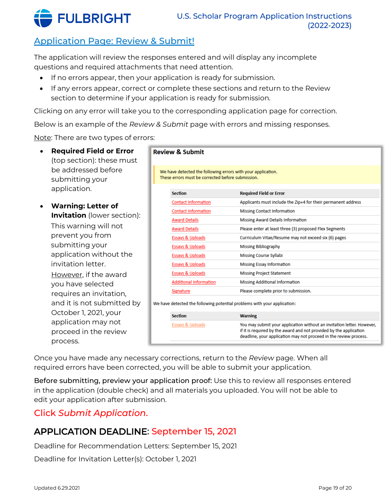

# Application Page: Review & Submit!

The application will review the responses entered and will display any incomplete questions and required attachments that need attention.

- If no errors appear, then your application is ready for submission.
- If any errors appear, correct or complete these sections and return to the Review section to determine if your application is ready for submission.

Clicking on any error will take you to the corresponding application page for correction.

Below is an example of the *Review & Submit* page with errors and missing responses.

Note: There are two types of errors:

- **Required Field or Error** (top section): these must be addressed before submitting your application.
- **Warning: Letter of Invitation** (lower section): This warning will not prevent you from submitting your application without the invitation letter. However, if the award you have selected requires an invitation, and it is not submitted by October 1, 2021, your application may not proceed in the review process.

| <b>Review &amp; Submit</b>                                                                                        |                                                               |
|-------------------------------------------------------------------------------------------------------------------|---------------------------------------------------------------|
|                                                                                                                   |                                                               |
| We have detected the following errors with your application.<br>These errors must be corrected before submission. |                                                               |
| <b>Section</b>                                                                                                    | <b>Required Field or Error</b>                                |
| <b>Contact Information</b>                                                                                        | Applicants must include the Zip+4 for their permanent address |
| <b>Contact Information</b>                                                                                        | <b>Missing Contact Information</b>                            |
| <b>Award Details</b>                                                                                              | Missing Award Details Information                             |
| <b>Award Details</b>                                                                                              | Please enter at least three (3) proposed Flex Segments        |
| <b>Essays &amp; Uploads</b>                                                                                       | Curriculum Vitae/Resume may not exceed six (6) pages          |
| <b>Essays &amp; Uploads</b>                                                                                       | <b>Missing Bibliography</b>                                   |
| Essays & Uploads                                                                                                  | <b>Missing Course Syllabi</b>                                 |
| Essays & Uploads                                                                                                  | <b>Missing Essay Information</b>                              |
| Essays & Uploads                                                                                                  | <b>Missing Project Statement</b>                              |
| <b>Additional Information</b>                                                                                     | <b>Missing Additional Information</b>                         |
| Signature                                                                                                         | Please complete prior to submission.                          |
| We have detected the following potential problems with your application:                                          |                                                               |

<span id="page-18-0"></span>

| <b>Section</b>   | <b>Warning</b>                                                                                                                                                                                                    |
|------------------|-------------------------------------------------------------------------------------------------------------------------------------------------------------------------------------------------------------------|
| Essays & Uploads | You may submit your application without an invitation letter. However,<br>if it is required by the award and not provided by the application<br>deadline, your application may not proceed in the review process. |

Once you have made any necessary corrections, return to the *Review* page. When all required errors have been corrected, you will be able to submit your application.

Before submitting, preview your application proof: Use this to review all responses entered in the application (double check) and all materials you uploaded. You will not be able to edit your application after submission.

## Click *Submit Application*.

# APPLICATION DEADLINE: September 15, 2021

Deadline for Recommendation Letters: September 15, 2021

Deadline for Invitation Letter(s): October 1, 2021